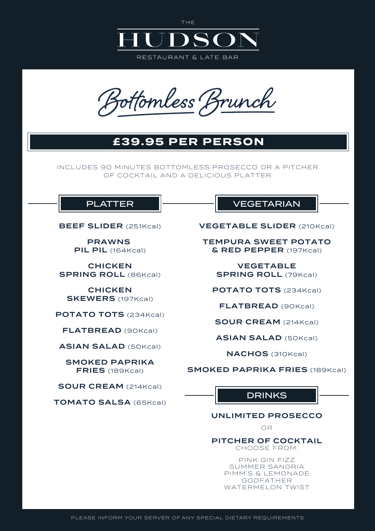

THE

fomless J

# **£39.95 PER PERSON**

INCLUDES 90 MINUTES BOTTOMLESS PROSECCO OR A PITCHER OF COCKTAIL AND A DELICIOUS PLATTER

BEEF SLIDER (251Kcal)

PRAWNS **PIL PIL** (164Kcal)

CHICKEN SPRING ROLL (86Kcal)

**CHICKEN** SKEWERS (197Kcal)

POTATO TOTS (234Kcal)

FLATBREAD (90Kcal)

ASIAN SALAD (50Kcal)

SMOKED PAPRIKA FRIES (189Kcal)

SOUR CREAM (214Kcal)

TOMATO SALSA (65Kcal)

### PLATTER **External VEGETARIAN**

VEGETABLE SLIDER (210Kcal)

TEMPURA SWEET POTATO & RED PEPPER (197Kcal)

> VEGETABLE SPRING ROLL (79Kcal)

POTATO TOTS (234Kcal)

FLATBREAD (90Kcal)

SOUR CREAM (214Kcal)

ASIAN SALAD (50Kcal)

NACHOS (310Kcal)

SMOKED PAPRIKA FRIES (189Kcal)

## **DRINKS**

#### UNLIMITED PROSECCO

OR

PITCHER OF COCKTAIL CHOOSE FROM:

> PINK GIN FIZZ SUMMER SANGRIA PIMM'S & LEMONADE GODFATHER WATERMELON TWIST